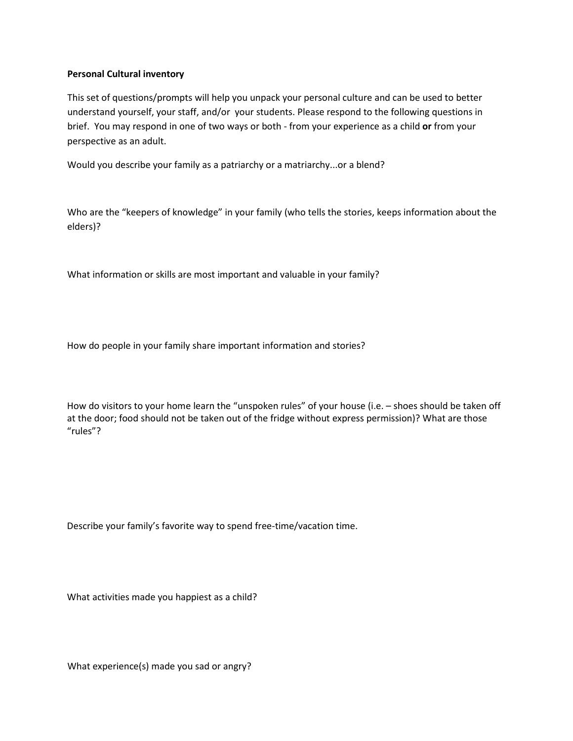## **Personal Cultural inventory**

This set of questions/prompts will help you unpack your personal culture and can be used to better understand yourself, your staff, and/or your students. Please respond to the following questions in brief. You may respond in one of two ways or both - from your experience as a child **or** from your perspective as an adult.

Would you describe your family as a patriarchy or a matriarchy...or a blend?

Who are the "keepers of knowledge" in your family (who tells the stories, keeps information about the elders)?

What information or skills are most important and valuable in your family?

How do people in your family share important information and stories?

How do visitors to your home learn the "unspoken rules" of your house (i.e. – shoes should be taken off at the door; food should not be taken out of the fridge without express permission)? What are those "rules"?

Describe your family's favorite way to spend free-time/vacation time.

What activities made you happiest as a child?

What experience(s) made you sad or angry?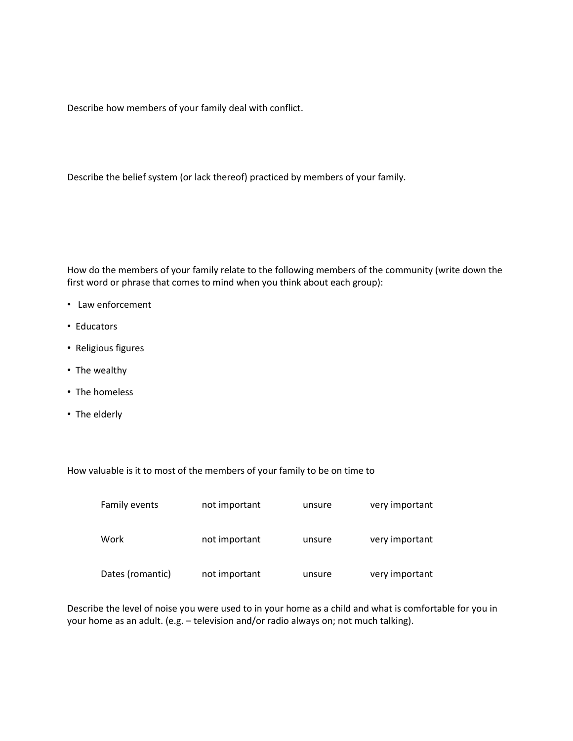Describe how members of your family deal with conflict.

Describe the belief system (or lack thereof) practiced by members of your family.

How do the members of your family relate to the following members of the community (write down the first word or phrase that comes to mind when you think about each group):

- Law enforcement
- Educators
- Religious figures
- The wealthy
- The homeless
- The elderly

How valuable is it to most of the members of your family to be on time to

| Family events    | not important | unsure | very important |
|------------------|---------------|--------|----------------|
| Work             | not important | unsure | very important |
| Dates (romantic) | not important | unsure | very important |

Describe the level of noise you were used to in your home as a child and what is comfortable for you in your home as an adult. (e.g. – television and/or radio always on; not much talking).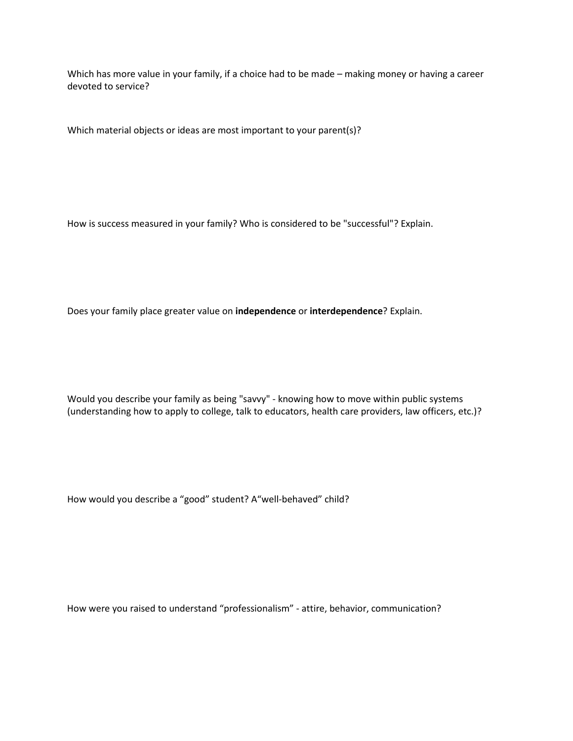Which has more value in your family, if a choice had to be made – making money or having a career devoted to service?

Which material objects or ideas are most important to your parent(s)?

How is success measured in your family? Who is considered to be "successful"? Explain.

Does your family place greater value on **independence** or **interdependence**? Explain.

Would you describe your family as being "savvy" - knowing how to move within public systems (understanding how to apply to college, talk to educators, health care providers, law officers, etc.)?

How would you describe a "good" student? A"well-behaved" child?

How were you raised to understand "professionalism" - attire, behavior, communication?